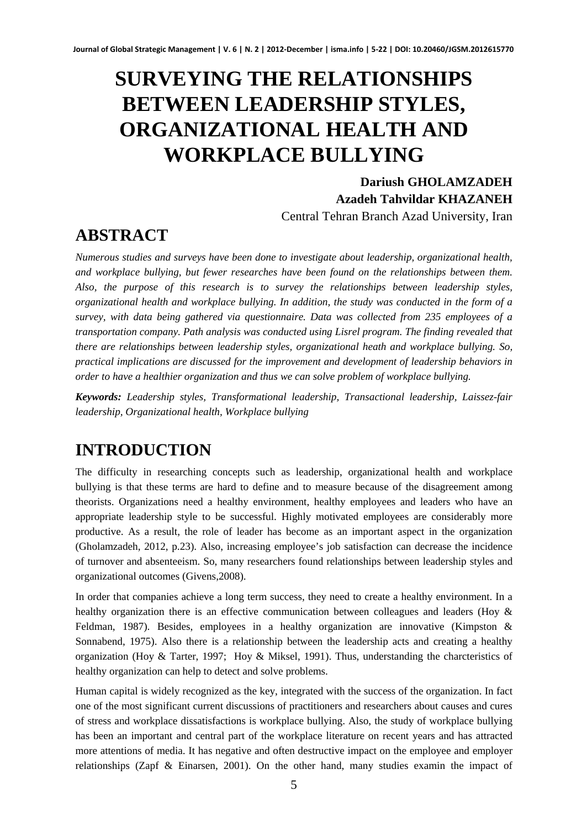# **SURVEYING THE RELATIONSHIPS BETWEEN LEADERSHIP STYLES, ORGANIZATIONAL HEALTH AND WORKPLACE BULLYING**

**Dariush GHOLAMZADEH Azadeh Tahvildar KHAZANEH**  Central Tehran Branch Azad University, Iran

# **ABSTRACT**

*Numerous studies and surveys have been done to investigate about leadership, organizational health, and workplace bullying, but fewer researches have been found on the relationships between them. Also, the purpose of this research is to survey the relationships between leadership styles, organizational health and workplace bullying. In addition, the study was conducted in the form of a survey, with data being gathered via questionnaire. Data was collected from 235 employees of a transportation company. Path analysis was conducted using Lisrel program. The finding revealed that there are relationships between leadership styles, organizational heath and workplace bullying. So, practical implications are discussed for the improvement and development of leadership behaviors in order to have a healthier organization and thus we can solve problem of workplace bullying.* 

*Keywords: Leadership styles, Transformational leadership, Transactional leadership, Laissez-fair leadership, Organizational health, Workplace bullying* 

# **INTRODUCTION**

The difficulty in researching concepts such as leadership, organizational health and workplace bullying is that these terms are hard to define and to measure because of the disagreement among theorists. Organizations need a healthy environment, healthy employees and leaders who have an appropriate leadership style to be successful. Highly motivated employees are considerably more productive. As a result, the role of leader has become as an important aspect in the organization (Gholamzadeh, 2012, p.23). Also, increasing employee's job satisfaction can decrease the incidence of turnover and absenteeism. So, many researchers found relationships between leadership styles and organizational outcomes (Givens,2008).

In order that companies achieve a long term success, they need to create a healthy environment. In a healthy organization there is an effective communication between colleagues and leaders (Hoy & Feldman, 1987). Besides, employees in a healthy organization are innovative (Kimpston & Sonnabend, 1975). Also there is a relationship between the leadership acts and creating a healthy organization (Hoy & Tarter, 1997; Hoy & Miksel, 1991). Thus, understanding the charcteristics of healthy organization can help to detect and solve problems.

Human capital is widely recognized as the key, integrated with the success of the organization. In fact one of the most significant current discussions of practitioners and researchers about causes and cures of stress and workplace dissatisfactions is workplace bullying. Also, the study of workplace bullying has been an important and central part of the workplace literature on recent years and has attracted more attentions of media. It has negative and often destructive impact on the employee and employer relationships (Zapf & Einarsen, 2001). On the other hand, many studies examin the impact of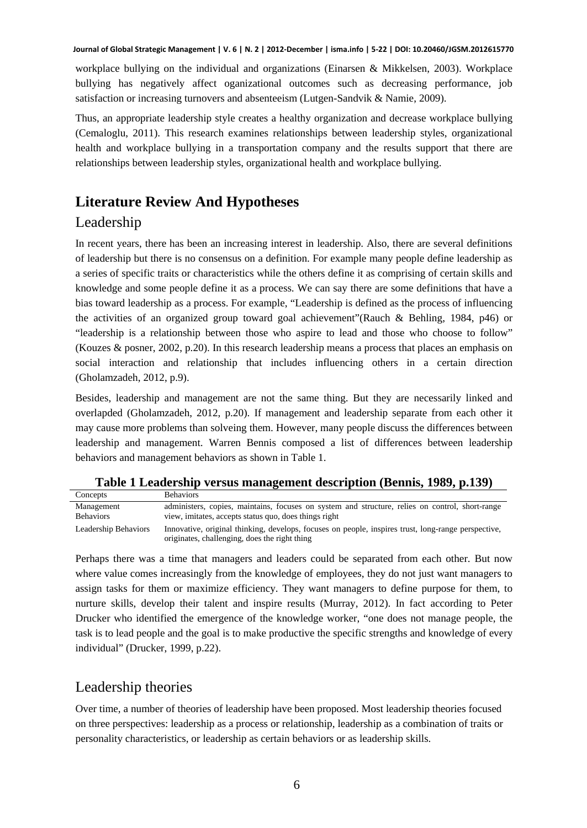workplace bullying on the individual and organizations (Einarsen & Mikkelsen, 2003). Workplace bullying has negatively affect oganizational outcomes such as decreasing performance, job satisfaction or increasing turnovers and absenteeism (Lutgen-Sandvik & Namie, 2009).

Thus, an appropriate leadership style creates a healthy organization and decrease workplace bullying (Cemaloglu, 2011). This research examines relationships between leadership styles, organizational health and workplace bullying in a transportation company and the results support that there are relationships between leadership styles, organizational health and workplace bullying.

# **Literature Review And Hypotheses**

## Leadership

In recent years, there has been an increasing interest in leadership. Also, there are several definitions of leadership but there is no consensus on a definition. For example many people define leadership as a series of specific traits or characteristics while the others define it as comprising of certain skills and knowledge and some people define it as a process. We can say there are some definitions that have a bias toward leadership as a process. For example, "Leadership is defined as the process of influencing the activities of an organized group toward goal achievement"(Rauch & Behling, 1984, p46) or "leadership is a relationship between those who aspire to lead and those who choose to follow" (Kouzes & posner, 2002, p.20). In this research leadership means a process that places an emphasis on social interaction and relationship that includes influencing others in a certain direction (Gholamzadeh, 2012, p.9).

Besides, leadership and management are not the same thing. But they are necessarily linked and overlapded (Gholamzadeh, 2012, p.20). If management and leadership separate from each other it may cause more problems than solveing them. However, many people discuss the differences between leadership and management. Warren Bennis composed a list of differences between leadership behaviors and management behaviors as shown in Table 1.

| Concepts             | <b>Behaviors</b>                                                                                                                                     |
|----------------------|------------------------------------------------------------------------------------------------------------------------------------------------------|
| Management           | administers, copies, maintains, focuses on system and structure, relies on control, short-range                                                      |
| <b>Behaviors</b>     | view, imitates, accepts status quo, does things right                                                                                                |
| Leadership Behaviors | Innovative, original thinking, develops, focuses on people, inspires trust, long-range perspective,<br>originates, challenging, does the right thing |

**Table 1 Leadership versus management description (Bennis, 1989, p.139)** 

Perhaps there was a time that managers and leaders could be separated from each other. But now where value comes increasingly from the knowledge of employees, they do not just want managers to assign tasks for them or maximize efficiency. They want managers to define purpose for them, to nurture skills, develop their talent and inspire results (Murray, 2012). In fact according to Peter Drucker who identified the emergence of the knowledge worker, "one does not manage people, the task is to lead people and the goal is to make productive the specific strengths and knowledge of every individual" (Drucker, 1999, p.22).

## Leadership theories

Over time, a number of theories of leadership have been proposed. Most leadership theories focused on three perspectives: leadership as a process or relationship, leadership as a combination of traits or personality characteristics, or leadership as certain behaviors or as leadership skills.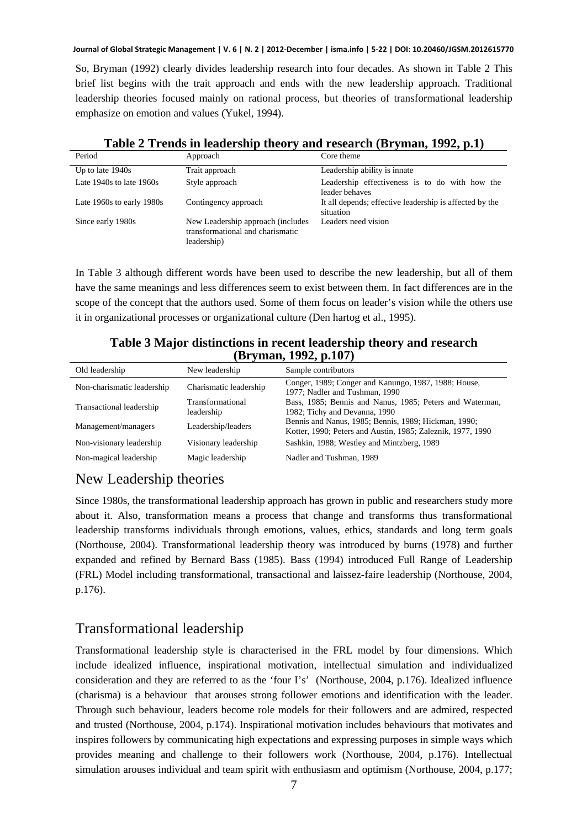So, Bryman (1992) clearly divides leadership research into four decades. As shown in Table 2 This brief list begins with the trait approach and ends with the new leadership approach. Traditional leadership theories focused mainly on rational process, but theories of transformational leadership emphasize on emotion and values (Yukel, 1994).

| Period                       | Approach                                                                              | Core theme                                                           |
|------------------------------|---------------------------------------------------------------------------------------|----------------------------------------------------------------------|
| Up to late $1940s$           | Trait approach                                                                        | Leadership ability is innate                                         |
| Late $1940s$ to late $1960s$ | Style approach                                                                        | Leadership effectiveness is to do with how the<br>leader behaves     |
| Late 1960s to early 1980s    | Contingency approach                                                                  | It all depends; effective leadership is affected by the<br>situation |
| Since early 1980s            | New Leadership approach (includes)<br>transformational and charismatic<br>leadership) | Leaders need vision                                                  |

### **Table 2 Trends in leadership theory and research (Bryman, 1992, p.1)**

In Table 3 although different words have been used to describe the new leadership, but all of them have the same meanings and less differences seem to exist between them. In fact differences are in the scope of the concept that the authors used. Some of them focus on leader's vision while the others use it in organizational processes or organizational culture (Den hartog et al., 1995).

**Table 3 Major distinctions in recent leadership theory and research (Bryman, 1992, p.107)** 

| Old leadership             | New leadership                 | Sample contributors                                                                                                 |
|----------------------------|--------------------------------|---------------------------------------------------------------------------------------------------------------------|
| Non-charismatic leadership | Charismatic leadership         | Conger, 1989; Conger and Kanungo, 1987, 1988; House,<br>1977: Nadler and Tushman, 1990                              |
| Transactional leadership   | Transformational<br>leadership | Bass, 1985; Bennis and Nanus, 1985; Peters and Waterman,<br>1982; Tichy and Devanna, 1990                           |
| Management/managers        | Leadership/leaders             | Bennis and Nanus, 1985; Bennis, 1989; Hickman, 1990;<br>Kotter, 1990; Peters and Austin, 1985; Zaleznik, 1977, 1990 |
| Non-visionary leadership   | Visionary leadership           | Sashkin, 1988; Westley and Mintzberg, 1989                                                                          |
| Non-magical leadership     | Magic leadership               | Nadler and Tushman, 1989                                                                                            |

# New Leadership theories

Since 1980s, the transformational leadership approach has grown in public and researchers study more about it. Also, transformation means a process that change and transforms thus transformational leadership transforms individuals through emotions, values, ethics, standards and long term goals (Northouse, 2004). Transformational leadership theory was introduced by burns (1978) and further expanded and refined by Bernard Bass (1985). Bass (1994) introduced Full Range of Leadership (FRL) Model including transformational, transactional and laissez-faire leadership (Northouse, 2004, p.176).

# Transformational leadership

Transformational leadership style is characterised in the FRL model by four dimensions. Which include idealized influence, inspirational motivation, intellectual simulation and individualized consideration and they are referred to as the 'four I's' (Northouse, 2004, p.176). Idealized influence (charisma) is a behaviour that arouses strong follower emotions and identification with the leader. Through such behaviour, leaders become role models for their followers and are admired, respected and trusted (Northouse, 2004, p.174). Inspirational motivation includes behaviours that motivates and inspires followers by communicating high expectations and expressing purposes in simple ways which provides meaning and challenge to their followers work (Northouse, 2004, p.176). Intellectual simulation arouses individual and team spirit with enthusiasm and optimism (Northouse, 2004, p.177;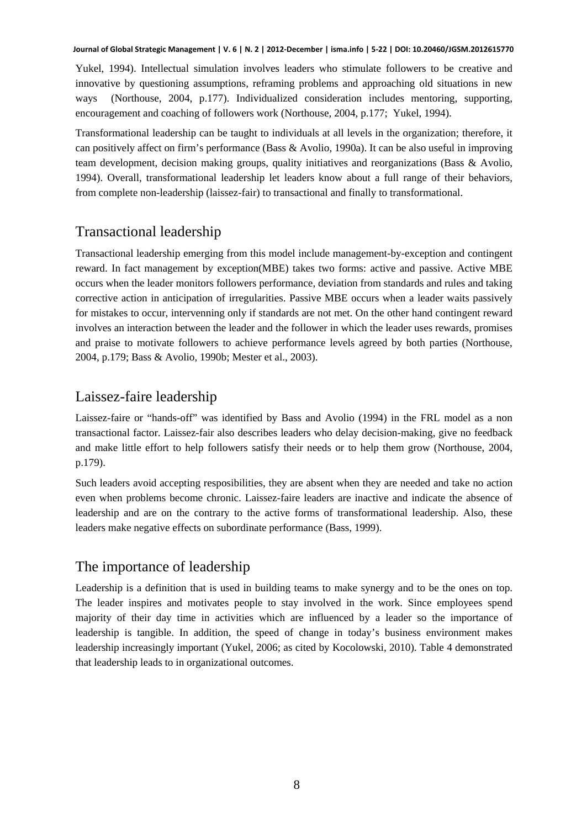Yukel, 1994). Intellectual simulation involves leaders who stimulate followers to be creative and innovative by questioning assumptions, reframing problems and approaching old situations in new ways (Northouse, 2004, p.177). Individualized consideration includes mentoring, supporting, encouragement and coaching of followers work (Northouse, 2004, p.177; Yukel, 1994).

Transformational leadership can be taught to individuals at all levels in the organization; therefore, it can positively affect on firm's performance (Bass & Avolio, 1990a). It can be also useful in improving team development, decision making groups, quality initiatives and reorganizations (Bass & Avolio, 1994). Overall, transformational leadership let leaders know about a full range of their behaviors, from complete non-leadership (laissez-fair) to transactional and finally to transformational.

# Transactional leadership

Transactional leadership emerging from this model include management-by-exception and contingent reward. In fact management by exception(MBE) takes two forms: active and passive. Active MBE occurs when the leader monitors followers performance, deviation from standards and rules and taking corrective action in anticipation of irregularities. Passive MBE occurs when a leader waits passively for mistakes to occur, intervenning only if standards are not met. On the other hand contingent reward involves an interaction between the leader and the follower in which the leader uses rewards, promises and praise to motivate followers to achieve performance levels agreed by both parties (Northouse, 2004, p.179; Bass & Avolio, 1990b; Mester et al., 2003).

## Laissez-faire leadership

Laissez-faire or "hands-off" was identified by Bass and Avolio (1994) in the FRL model as a non transactional factor. Laissez-fair also describes leaders who delay decision-making, give no feedback and make little effort to help followers satisfy their needs or to help them grow (Northouse, 2004, p.179).

Such leaders avoid accepting resposibilities, they are absent when they are needed and take no action even when problems become chronic. Laissez-faire leaders are inactive and indicate the absence of leadership and are on the contrary to the active forms of transformational leadership. Also, these leaders make negative effects on subordinate performance (Bass, 1999).

# The importance of leadership

Leadership is a definition that is used in building teams to make synergy and to be the ones on top. The leader inspires and motivates people to stay involved in the work. Since employees spend majority of their day time in activities which are influenced by a leader so the importance of leadership is tangible. In addition, the speed of change in today's business environment makes leadership increasingly important (Yukel, 2006; as cited by Kocolowski, 2010). Table 4 demonstrated that leadership leads to in organizational outcomes.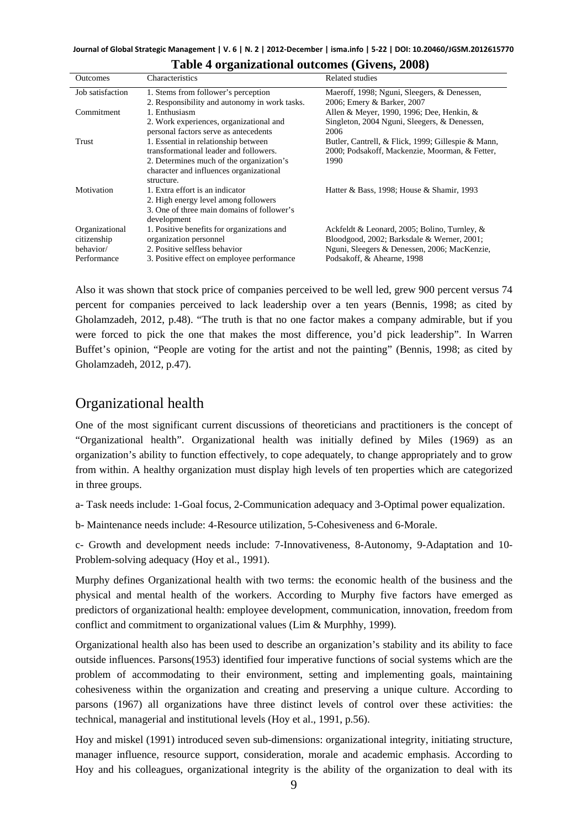| <b>Outcomes</b>  | Characteristics                               | Related studies                                    |
|------------------|-----------------------------------------------|----------------------------------------------------|
| Job satisfaction | 1. Stems from follower's perception           | Maeroff, 1998; Nguni, Sleegers, & Denessen,        |
|                  | 2. Responsibility and autonomy in work tasks. | 2006; Emery & Barker, 2007                         |
| Commitment       | 1. Enthusiasm                                 | Allen & Meyer, 1990, 1996; Dee, Henkin, &          |
|                  | 2. Work experiences, organizational and       | Singleton, 2004 Nguni, Sleegers, & Denessen,       |
|                  | personal factors serve as antecedents         | 2006                                               |
| Trust            | 1. Essential in relationship between          | Butler, Cantrell, & Flick, 1999; Gillespie & Mann, |
|                  | transformational leader and followers.        | 2000; Podsakoff, Mackenzie, Moorman, & Fetter,     |
|                  | 2. Determines much of the organization's      | 1990                                               |
|                  | character and influences organizational       |                                                    |
|                  | structure.                                    |                                                    |
| Motivation       | 1. Extra effort is an indicator               | Hatter & Bass, 1998; House & Shamir, 1993          |
|                  | 2. High energy level among followers          |                                                    |
|                  | 3. One of three main domains of follower's    |                                                    |
|                  | development                                   |                                                    |
| Organizational   | 1. Positive benefits for organizations and    | Ackfeldt & Leonard, 2005; Bolino, Turnley, &       |
| citizenship      | organization personnel                        | Bloodgood, 2002; Barksdale & Werner, 2001;         |
| behavior/        | 2. Positive selfless behavior                 | Nguni, Sleegers & Denessen, 2006; MacKenzie,       |
| Performance      | 3. Positive effect on employee performance    | Podsakoff, & Ahearne, 1998                         |
|                  |                                               |                                                    |

| Table 4 organizational outcomes (Givens, 2008) |  |  |  |  |  |  |
|------------------------------------------------|--|--|--|--|--|--|
|------------------------------------------------|--|--|--|--|--|--|

Also it was shown that stock price of companies perceived to be well led, grew 900 percent versus 74 percent for companies perceived to lack leadership over a ten years (Bennis, 1998; as cited by Gholamzadeh, 2012, p.48). "The truth is that no one factor makes a company admirable, but if you were forced to pick the one that makes the most difference, you'd pick leadership". In Warren Buffet's opinion, "People are voting for the artist and not the painting" (Bennis, 1998; as cited by Gholamzadeh, 2012, p.47).

## Organizational health

One of the most significant current discussions of theoreticians and practitioners is the concept of "Organizational health". Organizational health was initially defined by Miles (1969) as an organization's ability to function effectively, to cope adequately, to change appropriately and to grow from within. A healthy organization must display high levels of ten properties which are categorized in three groups.

a- Task needs include: 1-Goal focus, 2-Communication adequacy and 3-Optimal power equalization.

b- Maintenance needs include: 4-Resource utilization, 5-Cohesiveness and 6-Morale.

c- Growth and development needs include: 7-Innovativeness, 8-Autonomy, 9-Adaptation and 10- Problem-solving adequacy (Hoy et al., 1991).

Murphy defines Organizational health with two terms: the economic health of the business and the physical and mental health of the workers. According to Murphy five factors have emerged as predictors of organizational health: employee development, communication, innovation, freedom from conflict and commitment to organizational values (Lim & Murphhy, 1999).

Organizational health also has been used to describe an organization's stability and its ability to face outside influences. Parsons(1953) identified four imperative functions of social systems which are the problem of accommodating to their environment, setting and implementing goals, maintaining cohesiveness within the organization and creating and preserving a unique culture. According to parsons (1967) all organizations have three distinct levels of control over these activities: the technical, managerial and institutional levels (Hoy et al., 1991, p.56).

Hoy and miskel (1991) introduced seven sub-dimensions: organizational integrity, initiating structure, manager influence, resource support, consideration, morale and academic emphasis. According to Hoy and his colleagues, organizational integrity is the ability of the organization to deal with its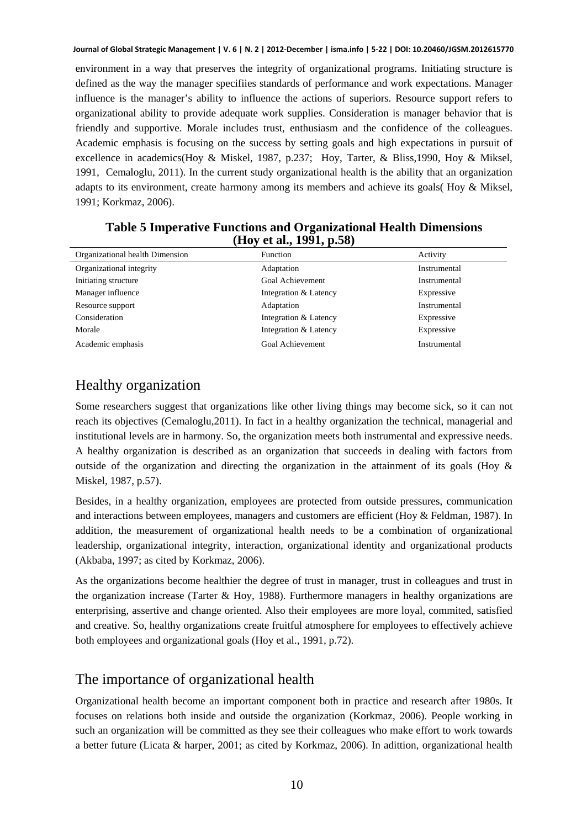environment in a way that preserves the integrity of organizational programs. Initiating structure is defined as the way the manager specifiies standards of performance and work expectations. Manager influence is the manager's ability to influence the actions of superiors. Resource support refers to organizational ability to provide adequate work supplies. Consideration is manager behavior that is friendly and supportive. Morale includes trust, enthusiasm and the confidence of the colleagues. Academic emphasis is focusing on the success by setting goals and high expectations in pursuit of excellence in academics(Hoy & Miskel, 1987, p.237; Hoy, Tarter, & Bliss,1990, Hoy & Miksel, 1991, Cemaloglu, 2011). In the current study organizational health is the ability that an organization adapts to its environment, create harmony among its members and achieve its goals( Hoy & Miksel, 1991; Korkmaz, 2006).

| Organizational health Dimension | <b>Function</b>       | Activity     |
|---------------------------------|-----------------------|--------------|
| Organizational integrity        | Adaptation            | Instrumental |
| Initiating structure            | Goal Achievement      | Instrumental |
| Manager influence               | Integration & Latency | Expressive   |
| Resource support                | Adaptation            | Instrumental |
| Consideration                   | Integration & Latency | Expressive   |
| Morale                          | Integration & Latency | Expressive   |
| Academic emphasis               | Goal Achievement      | Instrumental |

#### **Table 5 Imperative Functions and Organizational Health Dimensions (Hoy et al., 1991, p.58)**

# Healthy organization

Some researchers suggest that organizations like other living things may become sick, so it can not reach its objectives (Cemaloglu,2011). In fact in a healthy organization the technical, managerial and institutional levels are in harmony. So, the organization meets both instrumental and expressive needs. A healthy organization is described as an organization that succeeds in dealing with factors from outside of the organization and directing the organization in the attainment of its goals (Hoy  $\&$ Miskel, 1987, p.57).

Besides, in a healthy organization, employees are protected from outside pressures, communication and interactions between employees, managers and customers are efficient (Hoy & Feldman, 1987). In addition, the measurement of organizational health needs to be a combination of organizational leadership, organizational integrity, interaction, organizational identity and organizational products (Akbaba, 1997; as cited by Korkmaz, 2006).

As the organizations become healthier the degree of trust in manager, trust in colleagues and trust in the organization increase (Tarter & Hoy, 1988). Furthermore managers in healthy organizations are enterprising, assertive and change oriented. Also their employees are more loyal, commited, satisfied and creative. So, healthy organizations create fruitful atmosphere for employees to effectively achieve both employees and organizational goals (Hoy et al., 1991, p.72).

# The importance of organizational health

Organizational health become an important component both in practice and research after 1980s. It focuses on relations both inside and outside the organization (Korkmaz, 2006). People working in such an organization will be committed as they see their colleagues who make effort to work towards a better future (Licata & harper, 2001; as cited by Korkmaz, 2006). In adittion, organizational health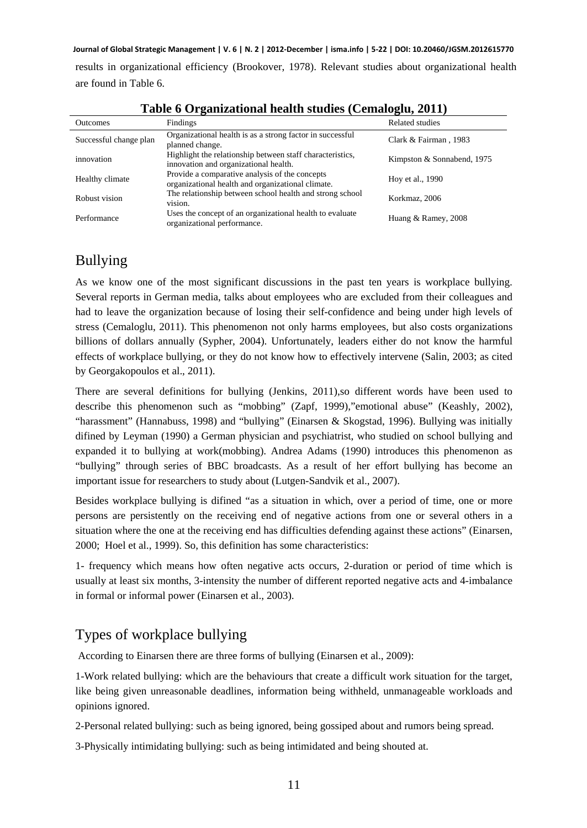results in organizational efficiency (Brookover, 1978). Relevant studies about organizational health are found in Table 6.

| <b>Outcomes</b>        | Findings                                                                                            | Related studies            |
|------------------------|-----------------------------------------------------------------------------------------------------|----------------------------|
| Successful change plan | Organizational health is as a strong factor in successful<br>planned change.                        | Clark & Fairman, 1983      |
| innovation             | Highlight the relationship between staff characteristics,<br>innovation and organizational health.  | Kimpston & Sonnabend, 1975 |
| Healthy climate        | Provide a comparative analysis of the concepts<br>organizational health and organizational climate. | Hoy et al., 1990           |
| Robust vision          | The relationship between school health and strong school<br>vision.                                 | Korkmaz, 2006              |
| Performance            | Uses the concept of an organizational health to evaluate<br>organizational performance.             | Huang & Ramey, 2008        |

| Table 6 Organizational health studies (Cemaloglu, 2011) |  |  |
|---------------------------------------------------------|--|--|
|                                                         |  |  |

# Bullying

As we know one of the most significant discussions in the past ten years is workplace bullying. Several reports in German media, talks about employees who are excluded from their colleagues and had to leave the organization because of losing their self-confidence and being under high levels of stress (Cemaloglu, 2011). This phenomenon not only harms employees, but also costs organizations billions of dollars annually (Sypher, 2004). Unfortunately, leaders either do not know the harmful effects of workplace bullying, or they do not know how to effectively intervene (Salin, 2003; as cited by Georgakopoulos et al., 2011).

There are several definitions for bullying (Jenkins, 2011), so different words have been used to describe this phenomenon such as "mobbing" (Zapf, 1999),"emotional abuse" (Keashly, 2002), "harassment" (Hannabuss, 1998) and "bullying" (Einarsen & Skogstad, 1996). Bullying was initially difined by Leyman (1990) a German physician and psychiatrist, who studied on school bullying and expanded it to bullying at work(mobbing). Andrea Adams (1990) introduces this phenomenon as "bullying" through series of BBC broadcasts. As a result of her effort bullying has become an important issue for researchers to study about (Lutgen-Sandvik et al., 2007).

Besides workplace bullying is difined "as a situation in which, over a period of time, one or more persons are persistently on the receiving end of negative actions from one or several others in a situation where the one at the receiving end has difficulties defending against these actions" (Einarsen, 2000; Hoel et al., 1999). So, this definition has some characteristics:

1- frequency which means how often negative acts occurs, 2-duration or period of time which is usually at least six months, 3-intensity the number of different reported negative acts and 4-imbalance in formal or informal power (Einarsen et al., 2003).

# Types of workplace bullying

According to Einarsen there are three forms of bullying (Einarsen et al., 2009):

1-Work related bullying: which are the behaviours that create a difficult work situation for the target, like being given unreasonable deadlines, information being withheld, unmanageable workloads and opinions ignored.

2-Personal related bullying: such as being ignored, being gossiped about and rumors being spread.

3-Physically intimidating bullying: such as being intimidated and being shouted at.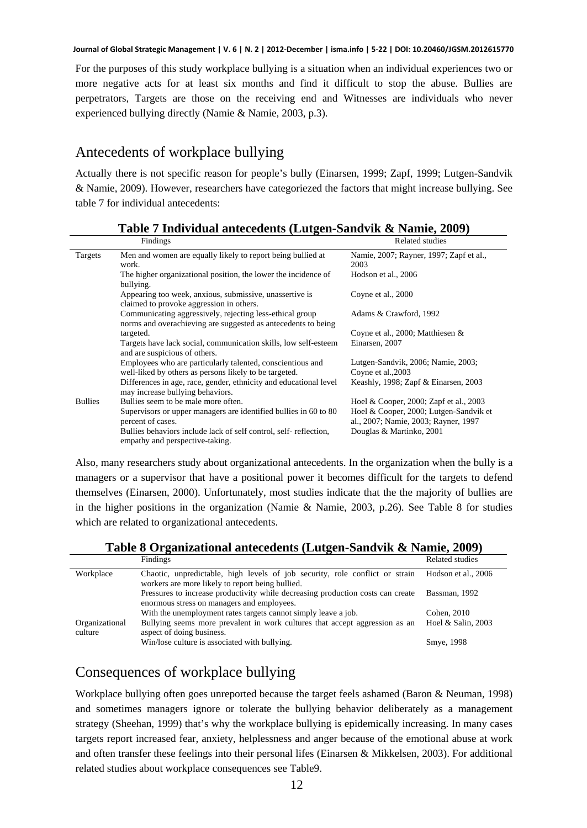For the purposes of this study workplace bullying is a situation when an individual experiences two or more negative acts for at least six months and find it difficult to stop the abuse. Bullies are perpetrators, Targets are those on the receiving end and Witnesses are individuals who never experienced bullying directly (Namie & Namie, 2003, p.3).

# Antecedents of workplace bullying

Actually there is not specific reason for people's bully (Einarsen, 1999; Zapf, 1999; Lutgen-Sandvik & Namie, 2009). However, researchers have categoriezed the factors that might increase bullying. See table 7 for individual antecedents:

|                | Findings                                                          | Related studies                         |
|----------------|-------------------------------------------------------------------|-----------------------------------------|
| Targets        | Men and women are equally likely to report being bullied at       | Namie, 2007; Rayner, 1997; Zapf et al., |
|                | work.                                                             | 2003                                    |
|                | The higher organizational position, the lower the incidence of    | Hodson et al., 2006                     |
|                | bullying.                                                         |                                         |
|                | Appearing too week, anxious, submissive, unassertive is           | Coyne et al., 2000                      |
|                | claimed to provoke aggression in others.                          |                                         |
|                | Communicating aggressively, rejecting less-ethical group          | Adams & Crawford, 1992                  |
|                | norms and overachieving are suggested as antecedents to being     |                                         |
|                | targeted.                                                         | Coyne et al., 2000; Matthiesen &        |
|                | Targets have lack social, communication skills, low self-esteem   | Einarsen, 2007                          |
|                | and are suspicious of others.                                     |                                         |
|                | Employees who are particularly talented, conscientious and        | Lutgen-Sandvik, 2006; Namie, 2003;      |
|                | well-liked by others as persons likely to be targeted.            | Coyne et al., 2003                      |
|                | Differences in age, race, gender, ethnicity and educational level | Keashly, 1998; Zapf $\&$ Einarsen, 2003 |
|                | may increase bullying behaviors.                                  |                                         |
| <b>Bullies</b> | Bullies seem to be male more often.                               | Hoel & Cooper, 2000; Zapf et al., 2003  |
|                | Supervisors or upper managers are identified bullies in 60 to 80  | Hoel & Cooper, 2000; Lutgen-Sandvik et  |
|                | percent of cases.                                                 | al., 2007; Namie, 2003; Rayner, 1997    |
|                | Bullies behaviors include lack of self control, self-reflection,  | Douglas & Martinko, 2001                |
|                | empathy and perspective-taking.                                   |                                         |

**Table 7 Individual antecedents (Lutgen-Sandvik & Namie, 2009)** 

Also, many researchers study about organizational antecedents. In the organization when the bully is a managers or a supervisor that have a positional power it becomes difficult for the targets to defend themselves (Einarsen, 2000). Unfortunately, most studies indicate that the the majority of bullies are in the higher positions in the organization (Namie & Namie, 2003, p.26). See Table 8 for studies which are related to organizational antecedents.

**Table 8 Organizational antecedents (Lutgen-Sandvik & Namie, 2009)** 

|                           | Findings                                                                                                                         | Related studies     |
|---------------------------|----------------------------------------------------------------------------------------------------------------------------------|---------------------|
| Workplace                 | Chaotic, unpredictable, high levels of job security, role conflict or strain<br>workers are more likely to report being bullied. | Hodson et al., 2006 |
|                           | Pressures to increase productivity while decreasing production costs can create<br>enormous stress on managers and employees.    | Bassman, 1992       |
|                           | With the unemployment rates targets cannot simply leave a job.                                                                   | Cohen, 2010         |
| Organizational<br>culture | Bullying seems more prevalent in work cultures that accept aggression as an<br>aspect of doing business.                         | Hoel & Salin, 2003  |
|                           | Win/lose culture is associated with bullying.                                                                                    | Smye, 1998          |

# Consequences of workplace bullying

Workplace bullying often goes unreported because the target feels ashamed (Baron & Neuman, 1998) and sometimes managers ignore or tolerate the bullying behavior deliberately as a management strategy (Sheehan, 1999) that's why the workplace bullying is epidemically increasing. In many cases targets report increased fear, anxiety, helplessness and anger because of the emotional abuse at work and often transfer these feelings into their personal lifes (Einarsen & Mikkelsen, 2003). For additional related studies about workplace consequences see Table9.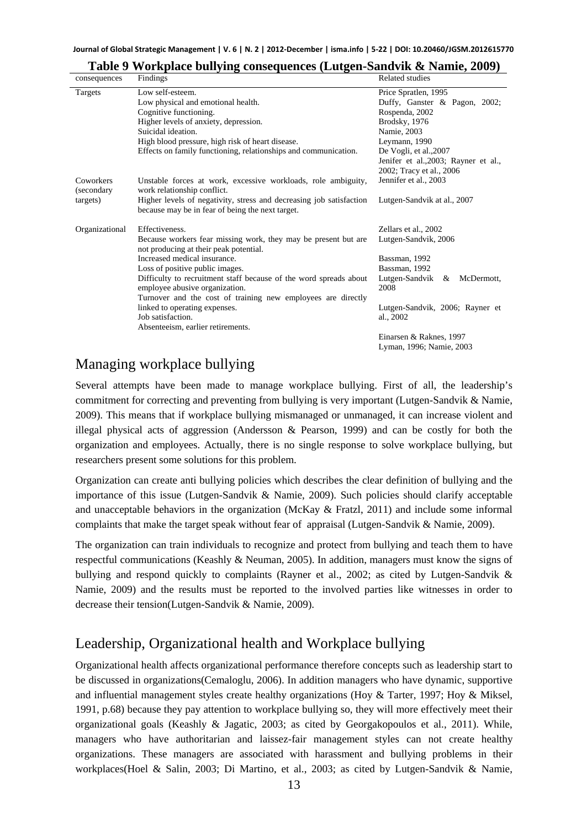| consequences                        | Findings                                                                                                                                                                                                                                                               | Related studies                                                                                                                                                                                                        |
|-------------------------------------|------------------------------------------------------------------------------------------------------------------------------------------------------------------------------------------------------------------------------------------------------------------------|------------------------------------------------------------------------------------------------------------------------------------------------------------------------------------------------------------------------|
| Targets                             | Low self-esteem.<br>Low physical and emotional health.<br>Cognitive functioning.<br>Higher levels of anxiety, depression.<br>Suicidal ideation.<br>High blood pressure, high risk of heart disease.<br>Effects on family functioning, relationships and communication. | Price Spratlen, 1995<br>Duffy, Ganster & Pagon, 2002;<br>Rospenda, 2002<br>Brodsky, 1976<br>Namie, 2003<br>Leymann, 1990<br>De Vogli, et al., 2007<br>Jenifer et al., 2003; Rayner et al.,<br>2002; Tracy et al., 2006 |
| Coworkers<br>(secondary<br>targets) | Unstable forces at work, excessive workloads, role ambiguity,<br>work relationship conflict.<br>Higher levels of negativity, stress and decreasing job satisfaction                                                                                                    | Jennifer et al., 2003<br>Lutgen-Sandvik at al., 2007                                                                                                                                                                   |
|                                     | because may be in fear of being the next target.                                                                                                                                                                                                                       |                                                                                                                                                                                                                        |
| Organizational                      | Effectiveness.<br>Because workers fear missing work, they may be present but are<br>not producing at their peak potential.                                                                                                                                             | Zellars et al., 2002<br>Lutgen-Sandvik, 2006                                                                                                                                                                           |
|                                     | Increased medical insurance.                                                                                                                                                                                                                                           | Bassman, 1992                                                                                                                                                                                                          |
|                                     | Loss of positive public images.<br>Difficulty to recruitment staff because of the word spreads about                                                                                                                                                                   | Bassman, 1992                                                                                                                                                                                                          |
|                                     | employee abusive organization.<br>Turnover and the cost of training new employees are directly                                                                                                                                                                         | Lutgen-Sandvik<br>McDermott,<br>&<br>2008                                                                                                                                                                              |
|                                     | linked to operating expenses.<br>Job satisfaction.                                                                                                                                                                                                                     | Lutgen-Sandvik, 2006; Rayner et<br>al., 2002                                                                                                                                                                           |
|                                     | Absenteeism, earlier retirements.                                                                                                                                                                                                                                      | Einarsen & Raknes, 1997<br>Lyman, 1996; Namie, 2003                                                                                                                                                                    |

#### **Table 9 Workplace bullying consequences (Lutgen-Sandvik & Namie, 2009)**

### Managing workplace bullying

Several attempts have been made to manage workplace bullying. First of all, the leadership's commitment for correcting and preventing from bullying is very important (Lutgen-Sandvik & Namie, 2009). This means that if workplace bullying mismanaged or unmanaged, it can increase violent and illegal physical acts of aggression (Andersson & Pearson, 1999) and can be costly for both the organization and employees. Actually, there is no single response to solve workplace bullying, but researchers present some solutions for this problem.

Organization can create anti bullying policies which describes the clear definition of bullying and the importance of this issue (Lutgen-Sandvik & Namie, 2009). Such policies should clarify acceptable and unacceptable behaviors in the organization (McKay & Fratzl, 2011) and include some informal complaints that make the target speak without fear of appraisal (Lutgen-Sandvik & Namie, 2009).

The organization can train individuals to recognize and protect from bullying and teach them to have respectful communications (Keashly & Neuman, 2005). In addition, managers must know the signs of bullying and respond quickly to complaints (Rayner et al., 2002; as cited by Lutgen-Sandvik & Namie, 2009) and the results must be reported to the involved parties like witnesses in order to decrease their tension(Lutgen-Sandvik & Namie, 2009).

## Leadership, Organizational health and Workplace bullying

Organizational health affects organizational performance therefore concepts such as leadership start to be discussed in organizations(Cemaloglu, 2006). In addition managers who have dynamic, supportive and influential management styles create healthy organizations (Hoy & Tarter, 1997; Hoy & Miksel, 1991, p.68) because they pay attention to workplace bullying so, they will more effectively meet their organizational goals (Keashly & Jagatic, 2003; as cited by Georgakopoulos et al., 2011). While, managers who have authoritarian and laissez-fair management styles can not create healthy organizations. These managers are associated with harassment and bullying problems in their workplaces(Hoel & Salin, 2003; Di Martino, et al., 2003; as cited by Lutgen-Sandvik & Namie,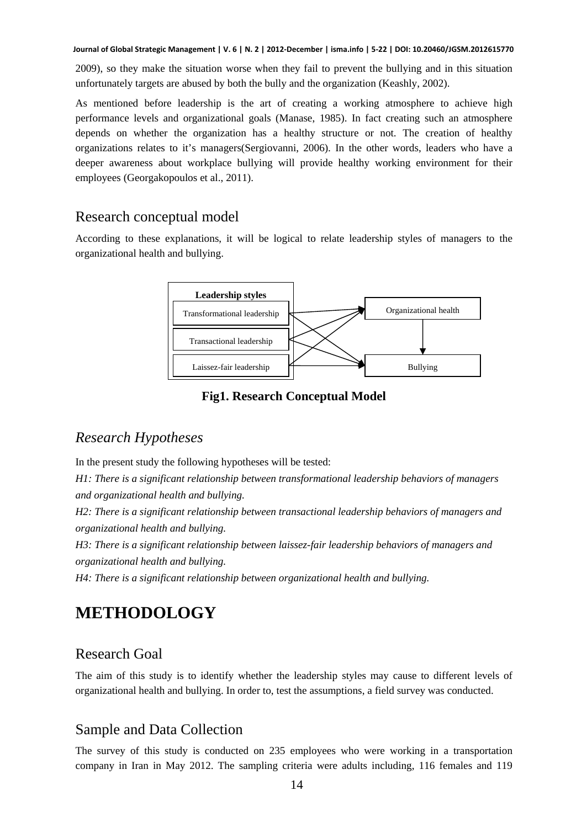2009), so they make the situation worse when they fail to prevent the bullying and in this situation unfortunately targets are abused by both the bully and the organization (Keashly, 2002).

As mentioned before leadership is the art of creating a working atmosphere to achieve high performance levels and organizational goals (Manase, 1985). In fact creating such an atmosphere depends on whether the organization has a healthy structure or not. The creation of healthy organizations relates to it's managers(Sergiovanni, 2006). In the other words, leaders who have a deeper awareness about workplace bullying will provide healthy working environment for their employees (Georgakopoulos et al., 2011).

# Research conceptual model

According to these explanations, it will be logical to relate leadership styles of managers to the organizational health and bullying.



### **Fig1. Research Conceptual Model**

## *Research Hypotheses*

In the present study the following hypotheses will be tested:

*H1: There is a significant relationship between transformational leadership behaviors of managers and organizational health and bullying.* 

*H2: There is a significant relationship between transactional leadership behaviors of managers and organizational health and bullying.* 

*H3: There is a significant relationship between laissez-fair leadership behaviors of managers and organizational health and bullying.* 

*H4: There is a significant relationship between organizational health and bullying.*

# **METHODOLOGY**

## Research Goal

The aim of this study is to identify whether the leadership styles may cause to different levels of organizational health and bullying. In order to, test the assumptions, a field survey was conducted.

# Sample and Data Collection

The survey of this study is conducted on 235 employees who were working in a transportation company in Iran in May 2012. The sampling criteria were adults including, 116 females and 119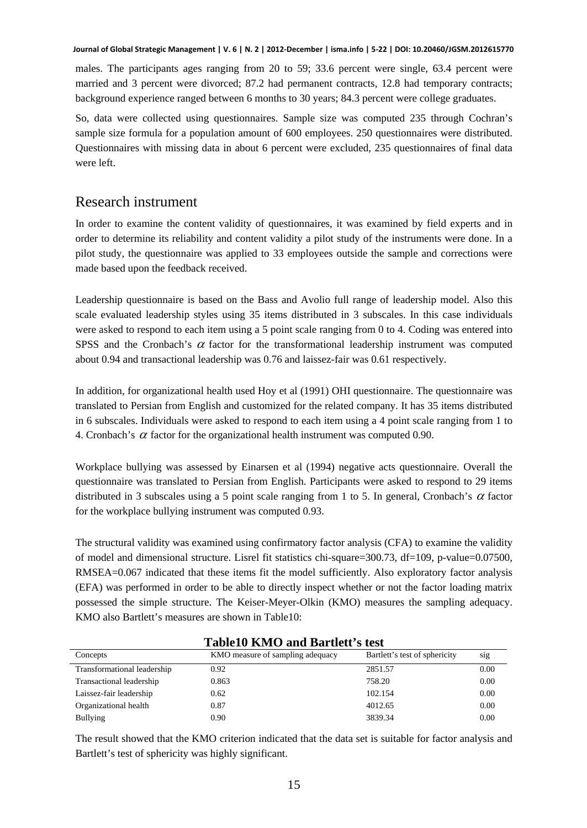males. The participants ages ranging from 20 to 59; 33.6 percent were single, 63.4 percent were married and 3 percent were divorced; 87.2 had permanent contracts, 12.8 had temporary contracts; background experience ranged between 6 months to 30 years; 84.3 percent were college graduates.

So, data were collected using questionnaires. Sample size was computed 235 through Cochran's sample size formula for a population amount of 600 employees. 250 questionnaires were distributed. Questionnaires with missing data in about 6 percent were excluded, 235 questionnaires of final data were left.

### Research instrument

In order to examine the content validity of questionnaires, it was examined by field experts and in order to determine its reliability and content validity a pilot study of the instruments were done. In a pilot study, the questionnaire was applied to 33 employees outside the sample and corrections were made based upon the feedback received.

Leadership questionnaire is based on the Bass and Avolio full range of leadership model. Also this scale evaluated leadership styles using 35 items distributed in 3 subscales. In this case individuals were asked to respond to each item using a 5 point scale ranging from 0 to 4. Coding was entered into SPSS and the Cronbach's  $\alpha$  factor for the transformational leadership instrument was computed about 0.94 and transactional leadership was 0.76 and laissez-fair was 0.61 respectively.

In addition, for organizational health used Hoy et al (1991) OHI questionnaire. The questionnaire was translated to Persian from English and customized for the related company. It has 35 items distributed in 6 subscales. Individuals were asked to respond to each item using a 4 point scale ranging from 1 to 4. Cronbach's  $\alpha$  factor for the organizational health instrument was computed 0.90.

Workplace bullying was assessed by Einarsen et al (1994) negative acts questionnaire. Overall the questionnaire was translated to Persian from English. Participants were asked to respond to 29 items distributed in 3 subscales using a 5 point scale ranging from 1 to 5. In general, Cronbach's  $\alpha$  factor for the workplace bullying instrument was computed 0.93.

The structural validity was examined using confirmatory factor analysis (CFA) to examine the validity of model and dimensional structure. Lisrel fit statistics chi-square=300.73, df=109, p-value=0.07500, RMSEA=0.067 indicated that these items fit the model sufficiently. Also exploratory factor analysis (EFA) was performed in order to be able to directly inspect whether or not the factor loading matrix possessed the simple structure. The Keiser-Meyer-Olkin (KMO) measures the sampling adequacy. KMO also Bartlett's measures are shown in Table10:

| Tabiely Kivity and Bartiell Stest |                                  |                               |      |
|-----------------------------------|----------------------------------|-------------------------------|------|
| Concepts                          | KMO measure of sampling adequacy | Bartlett's test of sphericity | sig  |
| Transformational leadership       | 0.92                             | 2851.57                       | 0.00 |
| Transactional leadership          | 0.863                            | 758.20                        | 0.00 |
| Laissez-fair leadership           | 0.62                             | 102.154                       | 0.00 |
| Organizational health             | 0.87                             | 4012.65                       | 0.00 |
| <b>Bullying</b>                   | 0.90                             | 3839.34                       | 0.00 |

### **Table10 KMO and Bartlett's test**

The result showed that the KMO criterion indicated that the data set is suitable for factor analysis and Bartlett's test of sphericity was highly significant.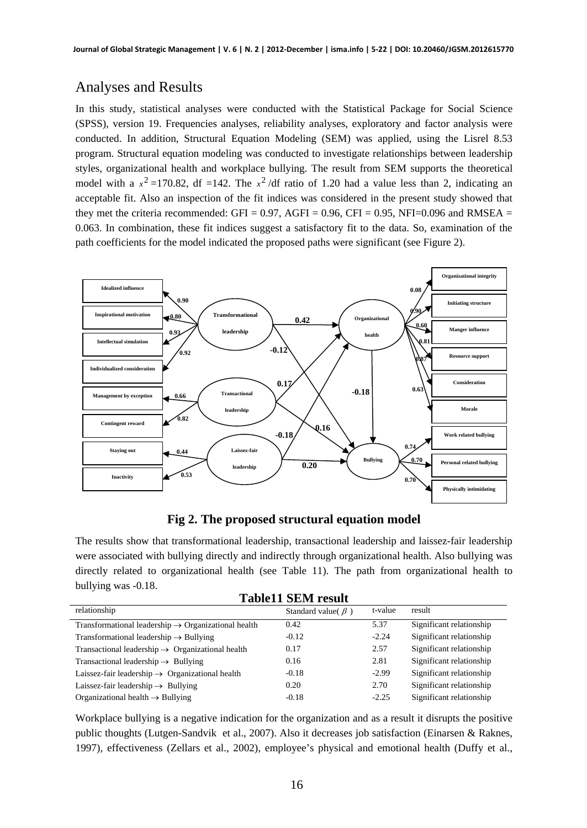# Analyses and Results

In this study, statistical analyses were conducted with the Statistical Package for Social Science (SPSS), version 19. Frequencies analyses, reliability analyses, exploratory and factor analysis were conducted. In addition, Structural Equation Modeling (SEM) was applied, using the Lisrel 8.53 program. Structural equation modeling was conducted to investigate relationships between leadership styles, organizational health and workplace bullying. The result from SEM supports the theoretical model with a  $x^2 = 170.82$ , df =142. The  $x^2$ /df ratio of 1.20 had a value less than 2, indicating an acceptable fit. Also an inspection of the fit indices was considered in the present study showed that they met the criteria recommended: GFI =  $0.97$ , AGFI =  $0.96$ , CFI =  $0.95$ , NFI= $0.096$  and RMSEA = 0.063. In combination, these fit indices suggest a satisfactory fit to the data. So, examination of the path coefficients for the model indicated the proposed paths were significant (see Figure 2).



**Fig 2. The proposed structural equation model** 

The results show that transformational leadership, transactional leadership and laissez-fair leadership were associated with bullying directly and indirectly through organizational health. Also bullying was directly related to organizational health (see Table 11). The path from organizational health to bullying was -0.18. **Table11 SEM result** 

| Tadiell Əlivi Tesuit                                            |                           |         |                          |
|-----------------------------------------------------------------|---------------------------|---------|--------------------------|
| relationship                                                    | Standard value( $\beta$ ) | t-value | result                   |
| Transformational leadership $\rightarrow$ Organizational health | 0.42                      | 5.37    | Significant relationship |
| Transformational leadership $\rightarrow$ Bullying              | $-0.12$                   | $-2.24$ | Significant relationship |
| Transactional leadership $\rightarrow$ Organizational health    | 0.17                      | 2.57    | Significant relationship |
| Transactional leadership $\rightarrow$ Bullying                 | 0.16                      | 2.81    | Significant relationship |
| Laissez-fair leadership $\rightarrow$ Organizational health     | $-0.18$                   | $-2.99$ | Significant relationship |
| Laissez-fair leadership $\rightarrow$ Bullying                  | 0.20                      | 2.70    | Significant relationship |
| Organizational health $\rightarrow$ Bullying                    | $-0.18$                   | $-2.25$ | Significant relationship |

Workplace bullying is a negative indication for the organization and as a result it disrupts the positive public thoughts (Lutgen-Sandvik et al., 2007). Also it decreases job satisfaction (Einarsen & Raknes, 1997), effectiveness (Zellars et al., 2002), employee's physical and emotional health (Duffy et al.,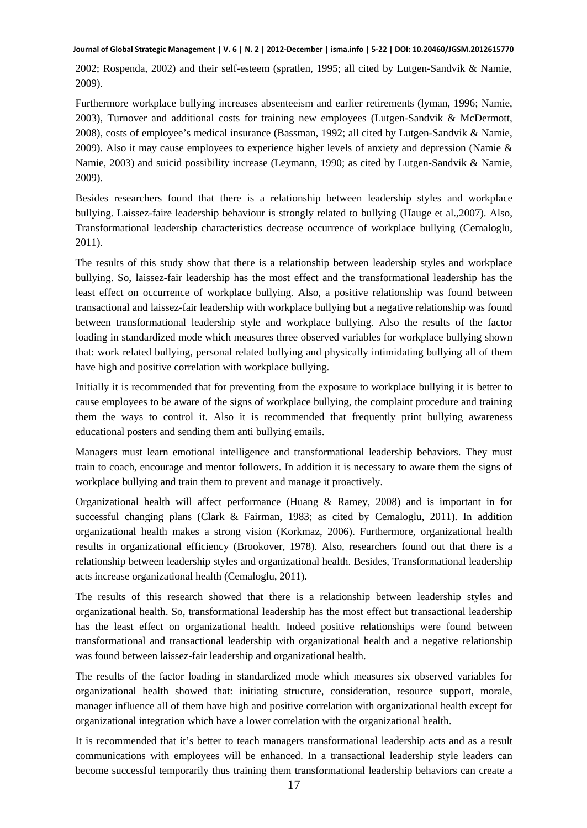2002; Rospenda, 2002) and their self-esteem (spratlen, 1995; all cited by Lutgen-Sandvik & Namie, 2009).

Furthermore workplace bullying increases absenteeism and earlier retirements (lyman, 1996; Namie, 2003), Turnover and additional costs for training new employees (Lutgen-Sandvik & McDermott, 2008), costs of employee's medical insurance (Bassman, 1992; all cited by Lutgen-Sandvik & Namie, 2009). Also it may cause employees to experience higher levels of anxiety and depression (Namie & Namie, 2003) and suicid possibility increase (Leymann, 1990; as cited by Lutgen-Sandvik & Namie, 2009).

Besides researchers found that there is a relationship between leadership styles and workplace bullying. Laissez-faire leadership behaviour is strongly related to bullying (Hauge et al.,2007). Also, Transformational leadership characteristics decrease occurrence of workplace bullying (Cemaloglu, 2011).

The results of this study show that there is a relationship between leadership styles and workplace bullying. So, laissez-fair leadership has the most effect and the transformational leadership has the least effect on occurrence of workplace bullying. Also, a positive relationship was found between transactional and laissez-fair leadership with workplace bullying but a negative relationship was found between transformational leadership style and workplace bullying. Also the results of the factor loading in standardized mode which measures three observed variables for workplace bullying shown that: work related bullying, personal related bullying and physically intimidating bullying all of them have high and positive correlation with workplace bullying.

Initially it is recommended that for preventing from the exposure to workplace bullying it is better to cause employees to be aware of the signs of workplace bullying, the complaint procedure and training them the ways to control it. Also it is recommended that frequently print bullying awareness educational posters and sending them anti bullying emails.

Managers must learn emotional intelligence and transformational leadership behaviors. They must train to coach, encourage and mentor followers. In addition it is necessary to aware them the signs of workplace bullying and train them to prevent and manage it proactively.

Organizational health will affect performance (Huang & Ramey, 2008) and is important in for successful changing plans (Clark & Fairman, 1983; as cited by Cemaloglu, 2011). In addition organizational health makes a strong vision (Korkmaz, 2006). Furthermore, organizational health results in organizational efficiency (Brookover, 1978). Also, researchers found out that there is a relationship between leadership styles and organizational health. Besides, Transformational leadership acts increase organizational health (Cemaloglu, 2011).

The results of this research showed that there is a relationship between leadership styles and organizational health. So, transformational leadership has the most effect but transactional leadership has the least effect on organizational health. Indeed positive relationships were found between transformational and transactional leadership with organizational health and a negative relationship was found between laissez-fair leadership and organizational health.

The results of the factor loading in standardized mode which measures six observed variables for organizational health showed that: initiating structure, consideration, resource support, morale, manager influence all of them have high and positive correlation with organizational health except for organizational integration which have a lower correlation with the organizational health.

It is recommended that it's better to teach managers transformational leadership acts and as a result communications with employees will be enhanced. In a transactional leadership style leaders can become successful temporarily thus training them transformational leadership behaviors can create a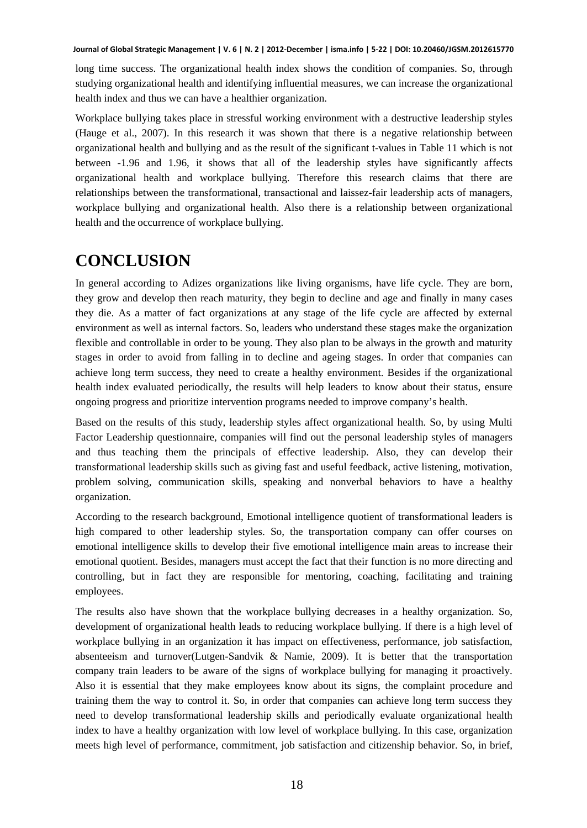long time success. The organizational health index shows the condition of companies. So, through studying organizational health and identifying influential measures, we can increase the organizational health index and thus we can have a healthier organization.

Workplace bullying takes place in stressful working environment with a destructive leadership styles (Hauge et al., 2007). In this research it was shown that there is a negative relationship between organizational health and bullying and as the result of the significant t-values in Table 11 which is not between -1.96 and 1.96, it shows that all of the leadership styles have significantly affects organizational health and workplace bullying. Therefore this research claims that there are relationships between the transformational, transactional and laissez-fair leadership acts of managers, workplace bullying and organizational health. Also there is a relationship between organizational health and the occurrence of workplace bullying.

# **CONCLUSION**

In general according to Adizes organizations like living organisms, have life cycle. They are born, they grow and develop then reach maturity, they begin to decline and age and finally in many cases they die. As a matter of fact organizations at any stage of the life cycle are affected by external environment as well as internal factors. So, leaders who understand these stages make the organization flexible and controllable in order to be young. They also plan to be always in the growth and maturity stages in order to avoid from falling in to decline and ageing stages. In order that companies can achieve long term success, they need to create a healthy environment. Besides if the organizational health index evaluated periodically, the results will help leaders to know about their status, ensure ongoing progress and prioritize intervention programs needed to improve company's health.

Based on the results of this study, leadership styles affect organizational health. So, by using Multi Factor Leadership questionnaire, companies will find out the personal leadership styles of managers and thus teaching them the principals of effective leadership. Also, they can develop their transformational leadership skills such as giving fast and useful feedback, active listening, motivation, problem solving, communication skills, speaking and nonverbal behaviors to have a healthy organization.

According to the research background, Emotional intelligence quotient of transformational leaders is high compared to other leadership styles. So, the transportation company can offer courses on emotional intelligence skills to develop their five emotional intelligence main areas to increase their emotional quotient. Besides, managers must accept the fact that their function is no more directing and controlling, but in fact they are responsible for mentoring, coaching, facilitating and training employees.

The results also have shown that the workplace bullying decreases in a healthy organization. So, development of organizational health leads to reducing workplace bullying. If there is a high level of workplace bullying in an organization it has impact on effectiveness, performance, job satisfaction, absenteeism and turnover(Lutgen-Sandvik & Namie, 2009). It is better that the transportation company train leaders to be aware of the signs of workplace bullying for managing it proactively. Also it is essential that they make employees know about its signs, the complaint procedure and training them the way to control it. So, in order that companies can achieve long term success they need to develop transformational leadership skills and periodically evaluate organizational health index to have a healthy organization with low level of workplace bullying. In this case, organization meets high level of performance, commitment, job satisfaction and citizenship behavior. So, in brief,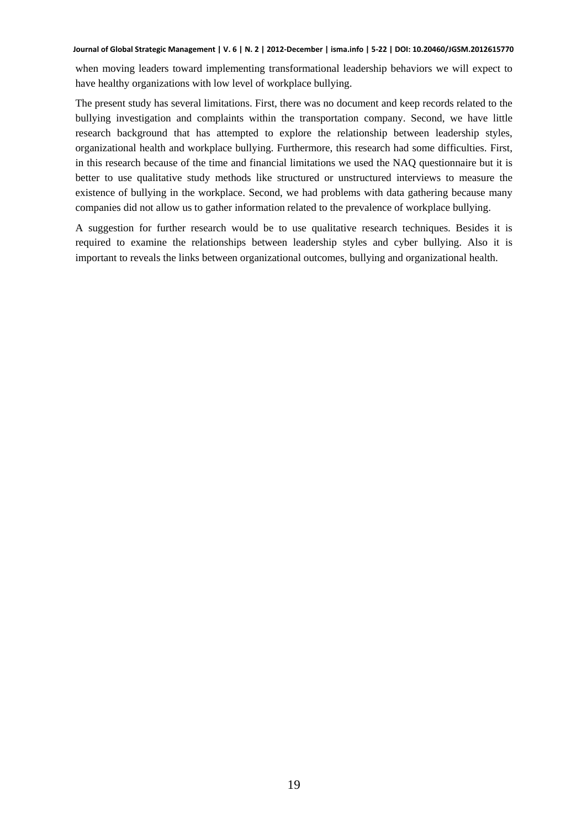when moving leaders toward implementing transformational leadership behaviors we will expect to have healthy organizations with low level of workplace bullying.

The present study has several limitations. First, there was no document and keep records related to the bullying investigation and complaints within the transportation company. Second, we have little research background that has attempted to explore the relationship between leadership styles, organizational health and workplace bullying. Furthermore, this research had some difficulties. First, in this research because of the time and financial limitations we used the NAQ questionnaire but it is better to use qualitative study methods like structured or unstructured interviews to measure the existence of bullying in the workplace. Second, we had problems with data gathering because many companies did not allow us to gather information related to the prevalence of workplace bullying.

A suggestion for further research would be to use qualitative research techniques. Besides it is required to examine the relationships between leadership styles and cyber bullying. Also it is important to reveals the links between organizational outcomes, bullying and organizational health.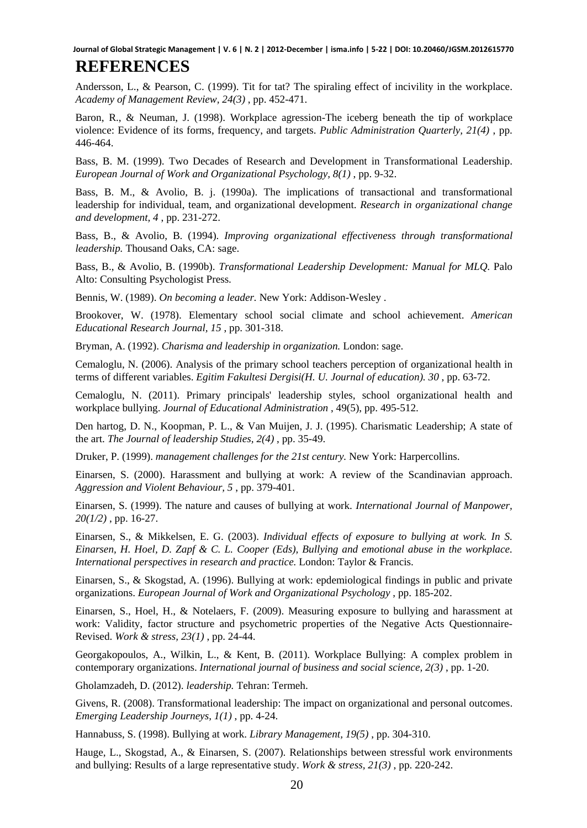# **REFERENCES**

Andersson, L., & Pearson, C. (1999). Tit for tat? The spiraling effect of incivility in the workplace. *Academy of Management Review, 24(3)* , pp. 452-471.

Baron, R., & Neuman, J. (1998). Workplace agression-The iceberg beneath the tip of workplace violence: Evidence of its forms, frequency, and targets. *Public Administration Quarterly, 21(4)* , pp. 446-464.

Bass, B. M. (1999). Two Decades of Research and Development in Transformational Leadership. *European Journal of Work and Organizational Psychology, 8(1)* , pp. 9-32.

Bass, B. M., & Avolio, B. j. (1990a). The implications of transactional and transformational leadership for individual, team, and organizational development. *Research in organizational change and development, 4* , pp. 231-272.

Bass, B., & Avolio, B. (1994). *Improving organizational effectiveness through transformational leadership.* Thousand Oaks, CA: sage.

Bass, B., & Avolio, B. (1990b). *Transformational Leadership Development: Manual for MLQ.* Palo Alto: Consulting Psychologist Press.

Bennis, W. (1989). *On becoming a leader.* New York: Addison-Wesley .

Brookover, W. (1978). Elementary school social climate and school achievement. *American Educational Research Journal, 15* , pp. 301-318.

Bryman, A. (1992). *Charisma and leadership in organization.* London: sage.

Cemaloglu, N. (2006). Analysis of the primary school teachers perception of organizational health in terms of different variables. *Egitim Fakultesi Dergisi(H. U. Journal of education). 30* , pp. 63-72.

Cemaloglu, N. (2011). Primary principals' leadership styles, school organizational health and workplace bullying. *Journal of Educational Administration* , 49(5), pp. 495-512.

Den hartog, D. N., Koopman, P. L., & Van Muijen, J. J. (1995). Charismatic Leadership; A state of the art. *The Journal of leadership Studies, 2(4)* , pp. 35-49.

Druker, P. (1999). *management challenges for the 21st century.* New York: Harpercollins.

Einarsen, S. (2000). Harassment and bullying at work: A review of the Scandinavian approach. *Aggression and Violent Behaviour, 5* , pp. 379-401.

Einarsen, S. (1999). The nature and causes of bullying at work. *International Journal of Manpower, 20(1/2)* , pp. 16-27.

Einarsen, S., & Mikkelsen, E. G. (2003). *Individual effects of exposure to bullying at work. In S. Einarsen, H. Hoel, D. Zapf & C. L. Cooper (Eds), Bullying and emotional abuse in the workplace. International perspectives in research and practice.* London: Taylor & Francis.

Einarsen, S., & Skogstad, A. (1996). Bullying at work: epdemiological findings in public and private organizations. *European Journal of Work and Organizational Psychology* , pp. 185-202.

Einarsen, S., Hoel, H., & Notelaers, F. (2009). Measuring exposure to bullying and harassment at work: Validity, factor structure and psychometric properties of the Negative Acts Questionnaire-Revised. *Work & stress, 23(1)* , pp. 24-44.

Georgakopoulos, A., Wilkin, L., & Kent, B. (2011). Workplace Bullying: A complex problem in contemporary organizations. *International journal of business and social science, 2(3)* , pp. 1-20.

Gholamzadeh, D. (2012). *leadership.* Tehran: Termeh.

Givens, R. (2008). Transformational leadership: The impact on organizational and personal outcomes. *Emerging Leadership Journeys, 1(1)* , pp. 4-24.

Hannabuss, S. (1998). Bullying at work. *Library Management, 19(5)* , pp. 304-310.

Hauge, L., Skogstad, A., & Einarsen, S. (2007). Relationships between stressful work environments and bullying: Results of a large representative study. *Work & stress, 21(3)* , pp. 220-242.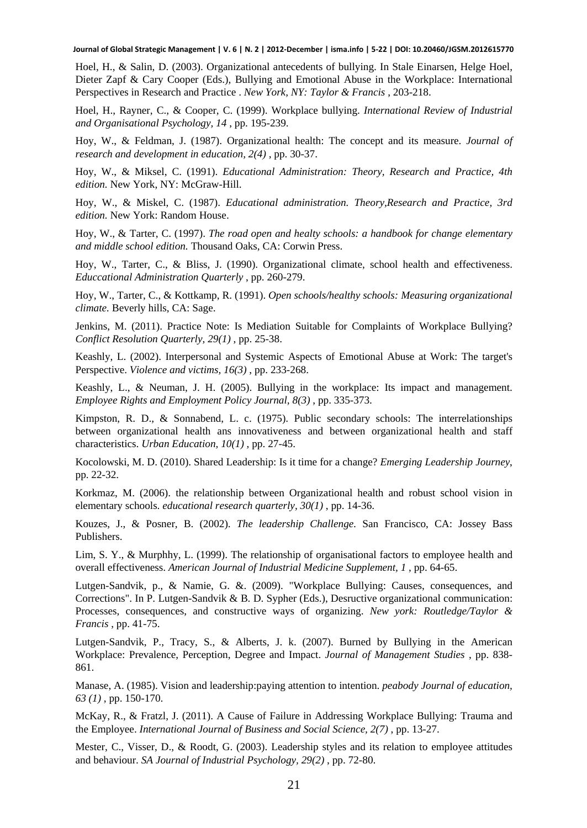Hoel, H., & Salin, D. (2003). Organizational antecedents of bullying. In Stale Einarsen, Helge Hoel, Dieter Zapf & Cary Cooper (Eds.), Bullying and Emotional Abuse in the Workplace: International Perspectives in Research and Practice . *New York, NY: Taylor & Francis* , 203-218.

Hoel, H., Rayner, C., & Cooper, C. (1999). Workplace bullying. *International Review of Industrial and Organisational Psychology, 14* , pp. 195-239.

Hoy, W., & Feldman, J. (1987). Organizational health: The concept and its measure. *Journal of research and development in education, 2(4)* , pp. 30-37.

Hoy, W., & Miksel, C. (1991). *Educational Administration: Theory, Research and Practice, 4th edition.* New York, NY: McGraw-Hill.

Hoy, W., & Miskel, C. (1987). *Educational administration. Theory,Research and Practice, 3rd edition.* New York: Random House.

Hoy, W., & Tarter, C. (1997). *The road open and healty schools: a handbook for change elementary and middle school edition.* Thousand Oaks, CA: Corwin Press.

Hoy, W., Tarter, C., & Bliss, J. (1990). Organizational climate, school health and effectiveness. *Educcational Administration Quarterly* , pp. 260-279.

Hoy, W., Tarter, C., & Kottkamp, R. (1991). *Open schools/healthy schools: Measuring organizational climate.* Beverly hills, CA: Sage.

Jenkins, M. (2011). Practice Note: Is Mediation Suitable for Complaints of Workplace Bullying? *Conflict Resolution Quarterly, 29(1)* , pp. 25-38.

Keashly, L. (2002). Interpersonal and Systemic Aspects of Emotional Abuse at Work: The target's Perspective. *Violence and victims, 16(3)* , pp. 233-268.

Keashly, L., & Neuman, J. H. (2005). Bullying in the workplace: Its impact and management. *Employee Rights and Employment Policy Journal, 8(3)* , pp. 335-373.

Kimpston, R. D., & Sonnabend, L. c. (1975). Public secondary schools: The interrelationships between organizational health ans innovativeness and between organizational health and staff characteristics. *Urban Education, 10(1)* , pp. 27-45.

Kocolowski, M. D. (2010). Shared Leadership: Is it time for a change? *Emerging Leadership Journey*, pp. 22-32.

Korkmaz, M. (2006). the relationship between Organizational health and robust school vision in elementary schools. *educational research quarterly, 30(1)* , pp. 14-36.

Kouzes, J., & Posner, B. (2002). *The leadership Challenge.* San Francisco, CA: Jossey Bass Publishers.

Lim, S. Y., & Murphhy, L. (1999). The relationship of organisational factors to employee health and overall effectiveness. *American Journal of Industrial Medicine Supplement, 1* , pp. 64-65.

Lutgen-Sandvik, p., & Namie, G. &. (2009). "Workplace Bullying: Causes, consequences, and Corrections". In P. Lutgen-Sandvik & B. D. Sypher (Eds.), Desructive organizational communication: Processes, consequences, and constructive ways of organizing. *New york: Routledge/Taylor & Francis* , pp. 41-75.

Lutgen-Sandvik, P., Tracy, S., & Alberts, J. k. (2007). Burned by Bullying in the American Workplace: Prevalence, Perception, Degree and Impact. *Journal of Management Studies* , pp. 838- 861.

Manase, A. (1985). Vision and leadership:paying attention to intention. *peabody Journal of education, 63 (1)* , pp. 150-170.

McKay, R., & Fratzl, J. (2011). A Cause of Failure in Addressing Workplace Bullying: Trauma and the Employee. *International Journal of Business and Social Science, 2(7)* , pp. 13-27.

Mester, C., Visser, D., & Roodt, G. (2003). Leadership styles and its relation to employee attitudes and behaviour. *SA Journal of Industrial Psychology, 29(2)* , pp. 72-80.